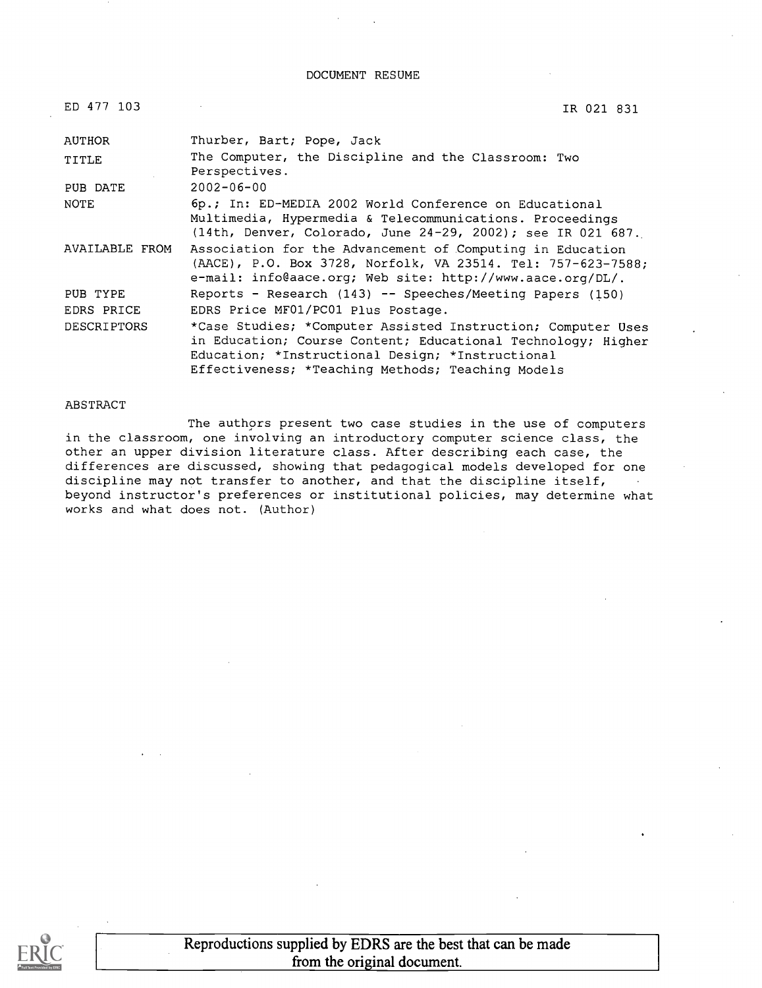#### DOCUMENT RESUME

| ED 477 103            | IR 021 831                                                                                                                                                                                                                            |
|-----------------------|---------------------------------------------------------------------------------------------------------------------------------------------------------------------------------------------------------------------------------------|
| AUTHOR                | Thurber, Bart; Pope, Jack                                                                                                                                                                                                             |
| TITLE                 | The Computer, the Discipline and the Classroom: Two<br>Perspectives.                                                                                                                                                                  |
| PUB DATE              | $2002 - 06 - 00$                                                                                                                                                                                                                      |
| <b>NOTE</b>           | 6p.; In: ED-MEDIA 2002 World Conference on Educational<br>Multimedia, Hypermedia & Telecommunications. Proceedings<br>$(14th,$ Denver, Colorado, June 24-29, 2002); see IR 021 687.                                                   |
| <b>AVAILABLE FROM</b> | Association for the Advancement of Computing in Education<br>(AACE), P.O. Box 3728, Norfolk, VA 23514. Tel: 757-623-7588;<br>e-mail: info@aace.org; Web site: http://www.aace.org/DL/.                                                |
| PUB TYPE              | Reports - Research (143) -- Speeches/Meeting Papers (150)                                                                                                                                                                             |
| EDRS PRICE            | EDRS Price MF01/PC01 Plus Postage.                                                                                                                                                                                                    |
| <b>DESCRIPTORS</b>    | *Case Studies; *Computer Assisted Instruction; Computer Uses<br>in Education; Course Content; Educational Technology; Higher<br>Education; *Instructional Design; *Instructional<br>Effectiveness; *Teaching Methods; Teaching Models |

#### ABSTRACT

The authors present two case studies in the use of computers in the classroom, one involving an introductory computer science class, the other an upper division literature class. After describing each case, the differences are discussed, showing that pedagogical models developed for one discipline may not transfer to another, and that the discipline itself, beyond instructor's preferences or institutional policies, may determine what works and what does not. (Author)

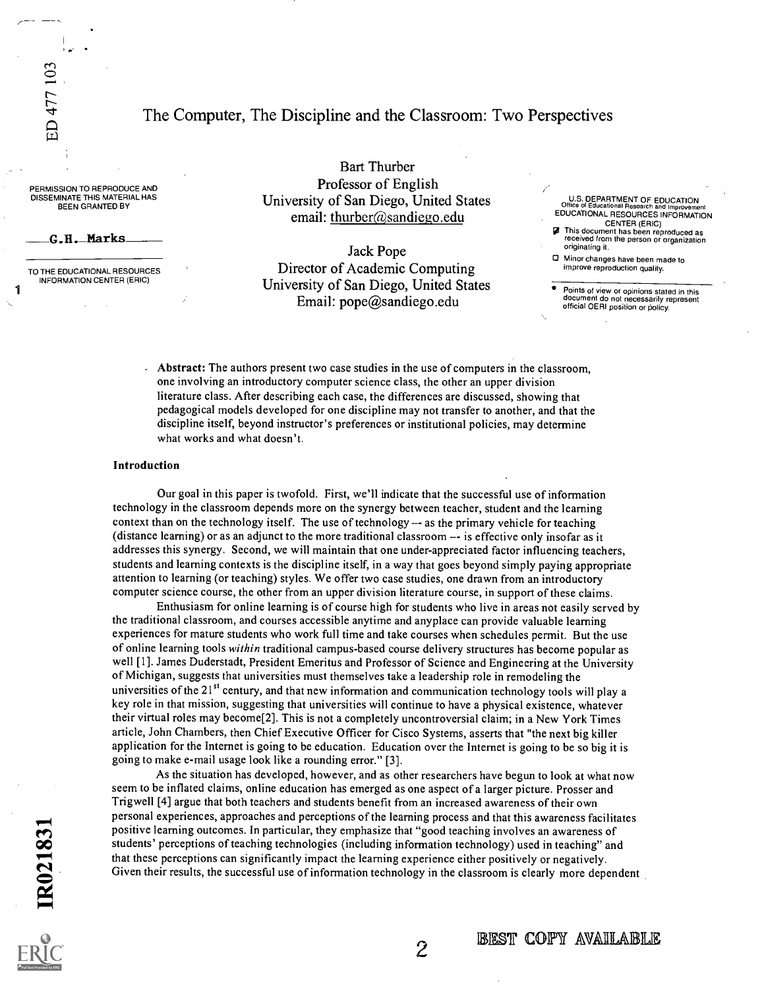ED 477 103

### The Computer, The Discipline and the Classroom: Two Perspectives

PERMISSION TO REPRODUCE AND DISSEMINATE THIS MATERIAL HAS BEEN GRANTED BY

G.H. Marks

TO THE EDUCATIONAL RESOURCES INFORMATION CENTER (ERIC)

Bart Thurber Professor of English University of San Diego, United States email: thurber@sandiego.edu

Jack Pope Director of Academic Computing University of San Diego, United States Email: pope@sandiego.edu

U.S. DEPARTMENT OF EDUCATION Office of Educational Research and Improvement EDUCATIONAL RESOURCES INFORMATION CENTER (ERIC)

**This document has been reproduced as** received from the person or organization originating it.

Minor changes have been made to improve reproduction quality.

Points of view or opinions stated in this document do not necessarily represent official OERI position or policy.

Abstract: The authors present two case studies in the use of computers in the classroom, one involving an introductory computer science class, the other an upper division literature class. After describing each case, the differences are discussed, showing that pedagogical models developed for one discipline may not transfer to another, and that the discipline itself, beyond instructor's preferences or institutional policies, may determine what works and what doesn't.

#### Introduction

Our goal in this paper is twofold. First, we'll indicate that the successful use of information technology in the classroom depends more on the synergy between teacher, student and the learning context than on the technology itself. The use of technology -- as the primary vehicle for teaching (distance learning) or as an adjunct to the more traditional classroom -- is effective only insofar as it addresses this synergy. Second, we will maintain that one under-appreciated factor influencing teachers, students and learning contexts is the discipline itself, in a way that goes beyond simply paying appropriate attention to learning (or teaching) styles. We offer two case studies, one drawn from an introductory computer science course, the other from an upper division literature course, in support of these claims.

Enthusiasm for online learning is of course high for students who live in areas not easily served by the traditional classroom, and courses accessible anytime and anyplace can provide valuable learning experiences for mature students who work full time and take courses when schedules permit. But the use of online learning tools within traditional campus-based course delivery structures has become popular as well [1]. James Duderstadt, President Emeritus and Professor of Science and Engineering at the University of Michigan, suggests that universities must themselves take a leadership role in remodeling the universities of the  $21^{st}$  century, and that new information and communication technology tools will play a key role in that mission, suggesting that universities will continue to have a physical existence, whatever their virtual roles may become[2]. This is not a completely uncontroversial claim; in a New York Times article, John Chambers, then Chief Executive Officer for Cisco Systems, asserts that "the next big killer application for the Internet is going to be education. Education over the Internet is going to be so big it is going to make e-mail usage look like a rounding error." [3].

As the situation has developed, however, and as other researchers have begun to look at what now seem to be inflated claims, online education has emerged as one aspect of a larger picture. Prosser and Trigwell [4] argue that both teachers and students benefit from an increased awareness of their own personal experiences, approaches and perceptions of the learning process and that this awareness facilitates positive learning outcomes. In particular, they emphasize that "good teaching involves an awareness of students' perceptions of teaching technologies (including information technology) used in teaching" and that these perceptions can significantly impact the learning experience either positively or negatively. Given their results, the successful use of information technology in the classroom is clearly more dependent

 $\overline{2}$ 

BEST COPY AVAILABLE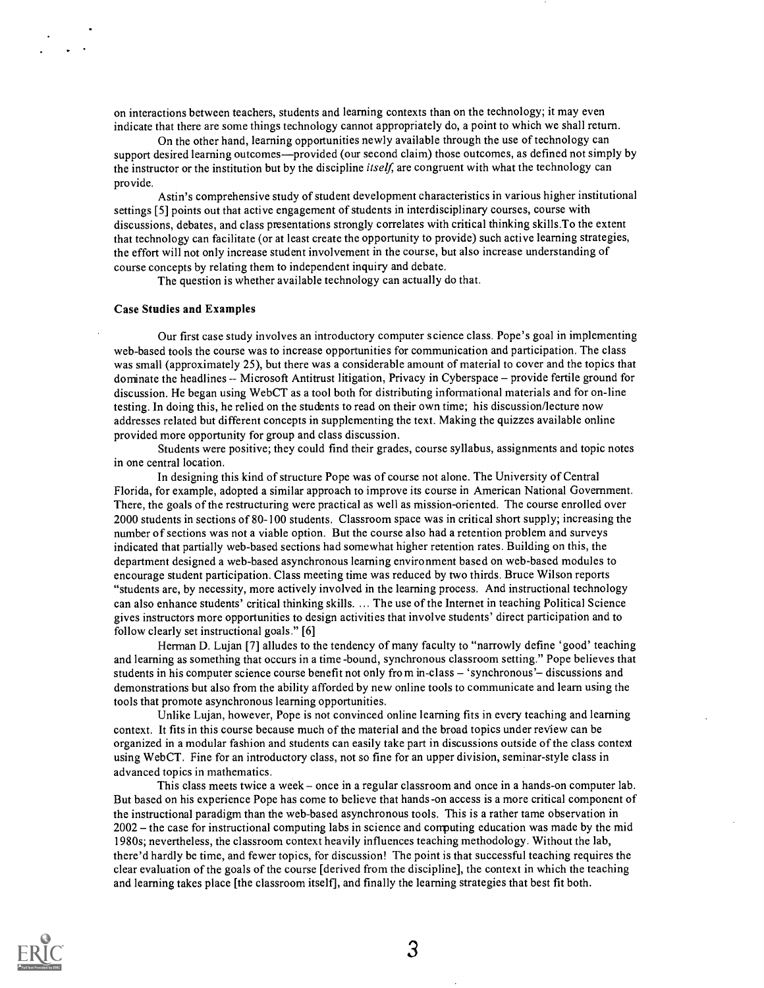on interactions between teachers, students and learning contexts than on the technology; it may even indicate that there are some things technology cannot appropriately do, a point to which we shall return.

On the other hand, learning opportunities newly available through the use of technology can support desired learning outcomes—provided (our second claim) those outcomes, as defined not simply by the instructor or the institution but by the discipline *itself*, are congruent with what the technology can provide.

Astin's comprehensive study of student development characteristics in various higher institutional settings [5] points out that active engagement of students in interdisciplinary courses, course with discussions, debates, and class presentations strongly correlates with critical thinking skills.To the extent that technology can facilitate (or at least create the opportunity to provide) such active learning strategies, the effort will not only increase student involvement in the course, but also increase understanding of course concepts by relating them to independent inquiry and debate.

The question is whether available technology can actually do that.

#### Case Studies and Examples

Our first case study involves an introductory computer science class. Pope's goal in implementing web-based tools the course was to increase opportunities for communication and participation. The class was small (approximately 25), but there was a considerable amount of material to cover and the topics that dominate the headlines -- Microsoft Antitrust litigation, Privacy in Cyberspace -- provide fertile ground for discussion. He began using WebCT as a tool both for distributing informational materials and for on-line testing. In doing this, he relied on the students to read on their own time; his discussion/lecture now addresses related but different concepts in supplementing the text. Making the quizzes available online provided more opportunity for group and class discussion.

Students were positive; they could find their grades, course syllabus, assignments and topic notes in one central location.

In designing this kind of structure Pope was of course not alone. The University of Central Florida, for example, adopted a similar approach to improve its course in American National Government. There, the goals of the restructuring were practical as well as mission-oriented. The course enrolled over 2000 students in sections of 80-100 students. Classroom space was in critical short supply; increasing the number of sections was not a viable option. But the course also had a retention problem and surveys indicated that partially web-based sections had somewhat higher retention rates. Building on this, the department designed a web-based asynchronous learning environment based on web-based modules to encourage student participation. Class meeting time was reduced by two thirds. Bruce Wilson reports "students are, by necessity, more actively involved in the learning process. And instructional technology can also enhance students' critical thinking skills. ... The use of the Internet in teaching Political Science gives instructors more opportunities to design activities that involve students' direct participation and to follow clearly set instructional goals." [6]

Herman D. Lujan [7] alludes to the tendency of many faculty to "narrowly define 'good' teaching and learning as something that occurs in a time -bound, synchronous classroom setting." Pope believes that students in his computer science course benefit not only from in-class - 'synchronous'- discussions and demonstrations but also from the ability afforded by new online tools to communicate and learn using the tools that promote asynchronous learning opportunities.

Unlike Lujan, however, Pope is not convinced online learning fits in every teaching and learning context. It fits in this course because much of the material and the broad topics under review can be organized in a modular fashion and students can easily take part in discussions outside of the class context using WebCT. Fine for an introductory class, not so fine for an upper division, seminar-style class in advanced topics in mathematics.

This class meets twice a week – once in a regular classroom and once in a hands-on computer lab. But based on his experience Pope has come to believe that hands-on access is a more critical component of the instructional paradigm than the web-based asynchronous tools. This is a rather tame observation in  $2002 -$  the case for instructional computing labs in science and computing education was made by the mid 1980s; nevertheless, the classroom context heavily influences teaching methodology. Without the lab, there'd hardly be time, and fewer topics, for discussion! The point is that successful teaching requires the clear evaluation of the goals of the course [derived from the discipline], the context in which the teaching and learning takes place [the classroom itself], and finally the learning strategies that best fit both.



3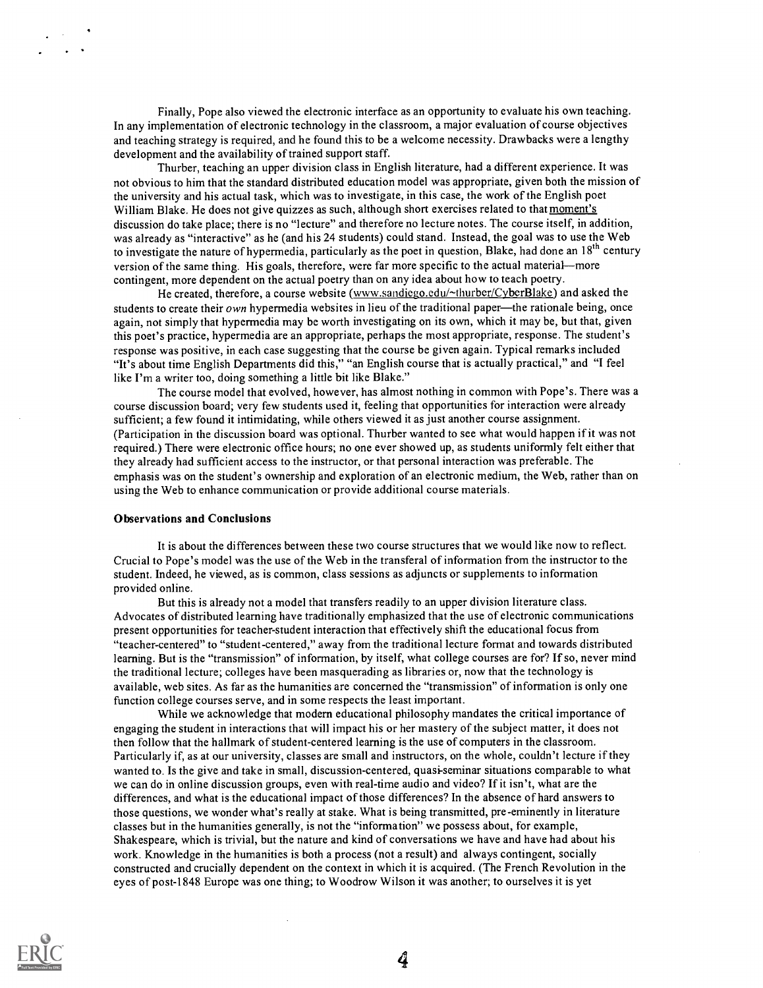Finally, Pope also viewed the electronic interface as an opportunity to evaluate his own teaching. In any implementation of electronic technology in the classroom, a major evaluation of course objectives and teaching strategy is required, and he found this to be a welcome necessity. Drawbacks were a lengthy development and the availability of trained support staff.

Thurber, teaching an upper division class in English literature, had a different experience. It was not obvious to him that the standard distributed education model was appropriate, given both the mission of the university and his actual task, which was to investigate, in this case, the work of the English poet William Blake. He does not give quizzes as such, although short exercises related to that moment's discussion do take place; there is no "lecture" and therefore no lecture notes. The course itself, in addition, was already as "interactive" as he (and his 24 students) could stand. Instead, the goal was to use the Web to investigate the nature of hypermedia, particularly as the poet in question, Blake, had done an 18<sup>th</sup> century version of the same thing. His goals, therefore, were far more specific to the actual material—more contingent, more dependent on the actual poetry than on any idea about how to teach poetry.

He created, therefore, a course website (www.sandiego.edu/~thurber/CyberBlake) and asked the students to create their  $own$  hypermedia websites in lieu of the traditional paper—the rationale being, once again, not simply that hypermedia may be worth investigating on its own, which it may be, but that, given this poet's practice, hypermedia are an appropriate, perhaps the most appropriate, response. The student's response was positive, in each case suggesting that the course be given again. Typical remarks included "It's about time English Departments did this," "an English course that is actually practical," and "I feel like I'm a writer too, doing something a little bit like Blake."

The course model that evolved, however, has almost nothing in common with Pope's. There was a course discussion board; very few students used it, feeling that opportunities for interaction were already sufficient; a few found it intimidating, while others viewed it as just another course assignment. (Participation in the discussion board was optional. Thurber wanted to see what would happen if it was not required.) There were electronic office hours; no one ever showed up, as students uniformly felt either that they already had sufficient access to the instructor, or that personal interaction was preferable. The emphasis was on the student's ownership and exploration of an electronic medium, the Web, rather than on using the Web to enhance communication or provide additional course materials.

### Observations and Conclusions

It is about the differences between these two course structures that we would like now to reflect. Crucial to Pope's model was the use of the Web in the transferal of information from the instructor to the student. Indeed, he viewed, as is common, class sessions as adjuncts or supplements to information provided online.

But this is already not a model that transfers readily to an upper division literature class. Advocates of distributed learning have traditionally emphasized that the use of electronic communications present opportunities for teacher-student interaction that effectively shift the educational focus from "teacher-centered" to "student-centered," away from the traditional lecture format and towards distributed learning. But is the "transmission" of information, by itself, what college courses are for? If so, never mind the traditional lecture; colleges have been masquerading as libraries or, now that the technology is available, web sites. As far as the humanities are concerned the "transmission" of information is only one function college courses serve, and in some respects the least important.

While we acknowledge that modern educational philosophy mandates the critical importance of engaging the student in interactions that will impact his or her mastery of the subject matter, it does not then follow that the hallmark of student-centered learning is the use of computers in the classroom. Particularly if, as at our university, classes are small and instructors, on the whole, couldn't lecture if they wanted to. Is the give and take in small, discussion-centered, quasi-seminar situations comparable to what we can do in online discussion groups, even with real-time audio and video? If it isn't, what are the differences, and what is the educational impact of those differences? In the absence of hard answers to those questions, we wonder what's really at stake. What is being transmitted, pre-eminently in literature classes but in the humanities generally, is not the "information" we possess about, for example, Shakespeare, which is trivial, but the nature and kind of conversations we have and have had about his work. Knowledge in the humanities is both a process (not a result) and always contingent, socially constructed and crucially dependent on the context in which it is acquired. (The French Revolution in the eyes of post-1848 Europe was one thing; to Woodrow Wilson it was another; to ourselves it is yet



4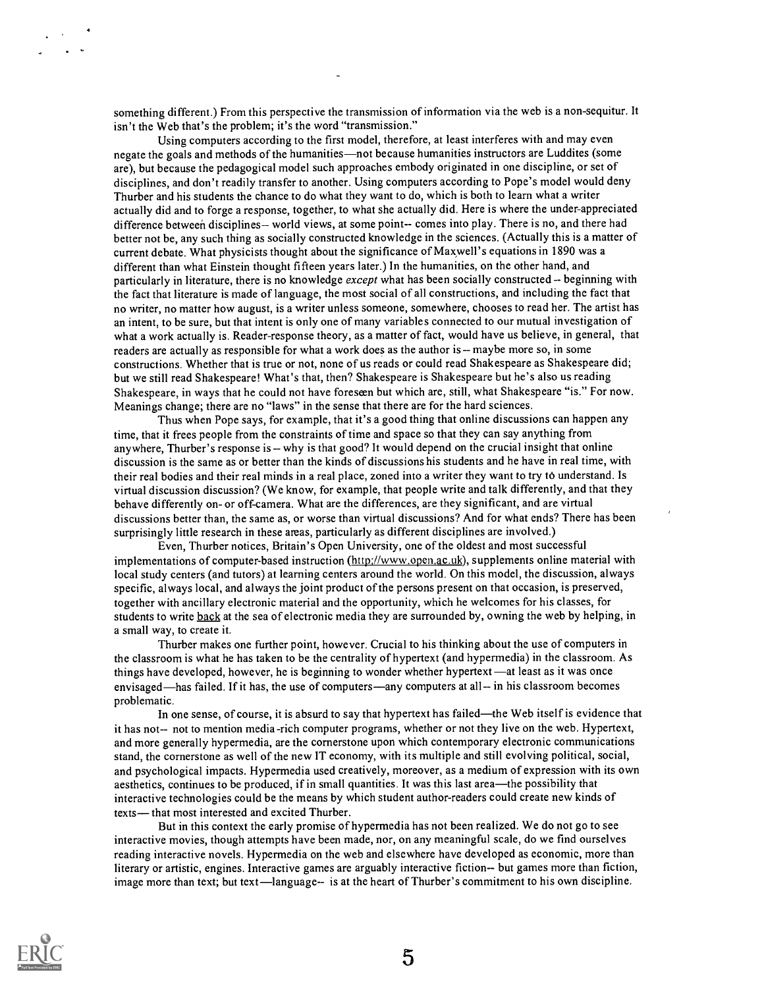something different.) From this perspective the transmission of information via the web is a non-sequitur. It isn't the Web that's the problem; it's the word "transmission."

Using computers according to the first model, therefore, at least interferes with and may even negate the goals and methods of the humanities—not because humanities instructors are Luddites (some are), but because the pedagogical model such approaches embody originated in one discipline, or set of disciplines, and don't readily transfer to another. Using computers according to Pope's model would deny Thurber and his students the chance to do what they want to do, which is both to learn what a writer actually did and to forge a response, together, to what she actually did. Here is where the under-appreciated difference between disciplines-- world views, at some point-- comes into play. There is no, and there had better not be, any such thing as socially constructed knowledge in the sciences. (Actually this is a matter of current debate. What physicists thought about the significance of Maxwell's equations in 1890 was a different than what Einstein thought fifteen years later.) In the humanities, on the other hand, and particularly in literature, there is no knowledge except what has been socially constructed -- beginning with the fact that literature is made of language, the most social of all constructions, and including the fact that no writer, no matter how august, is a writer unless someone, somewhere, chooses to read her. The artist has an intent, to be sure, but that intent is only one of many variables connected to our mutual investigation of what a work actually is. Reader-response theory, as a matter of fact, would have us believe, in general, that readers are actually as responsible for what a work does as the author is -- maybe more so, in some constructions. Whether that is true or not, none of us reads or could read Shakespeare as Shakespeare did; but we still read Shakespeare! What's that, then? Shakespeare is Shakespeare but he's also us reading Shakespeare, in ways that he could not have foreseen but which are, still, what Shakespeare "is." For now. Meanings change; there are no "laws" in the sense that there are for the hard sciences.

Thus when Pope says, for example, that it's a good thing that online discussions can happen any time, that it frees people from the constraints of time and space so that they can say anything from anywhere, Thurber's response is -- why is that good? It would depend on the crucial insight that online discussion is the same as or better than the kinds of discussions his students and he have in real time, with their real bodies and their real minds in a real place, zoned into a writer they want to try to understand. Is virtual discussion discussion? (We know, for example, that people write and talk differently, and that they behave differently on- or off-camera. What are the differences, are they significant, and are virtual discussions better than, the same as, or worse than virtual discussions? And for what ends? There has been surprisingly little research in these areas, particularly as different disciplines are involved.)

Even, Thurber notices, Britain's Open University, one of the oldest and most successful implementations of computer-based instruction (http://www.open.ac.uk), supplements online material with local study centers (and tutors) at learning centers around the world. On this model, the discussion, always specific, always local, and always the joint product of the persons present on that occasion, is preserved, together with ancillary electronic material and the opportunity, which he welcomes for his classes, for students to write back at the sea of electronic media they are surrounded by, owning the web by helping, in a small way, to create it.

Thurber makes one further point, however. Crucial to his thinking about the use of computers in the classroom is what he has taken to be the centrality of hypertext (and hypermedia) in the classroom. As things have developed, however, he is beginning to wonder whether hypertext—at least as it was once envisaged—has failed. If it has, the use of computers—any computers at all-- in his classroom becomes problematic.

In one sense, of course, it is absurd to say that hypertext has failed—the Web itself is evidence that it has not-- not to mention media -rich computer programs, whether or not they live on the web. Hypertext, and more generally hypermedia, are the cornerstone upon which contemporary electronic communications stand, the cornerstone as well of the new IT economy, with its multiple and still evolving political, social, and psychological impacts. Hypermedia used creatively, moreover, as a medium of expression with its own aesthetics, continues to be produced, if in small quantities. It was this last area—the possibility that interactive technologies could be the means by which student author-readers could create new kinds of texts - that most interested and excited Thurber.

But in this context the early promise of hypermedia has not been realized. We do not go to see interactive movies, though attempts have been made, nor, on any meaningful scale, do we find ourselves reading interactive novels. Hypermedia on the web and elsewhere have developed as economic, more than literary or artistic, engines. Interactive games are arguably interactive fiction-- but games more than fiction, image more than text; but text—language-- is at the heart of Thurber's commitment to his own discipline.



5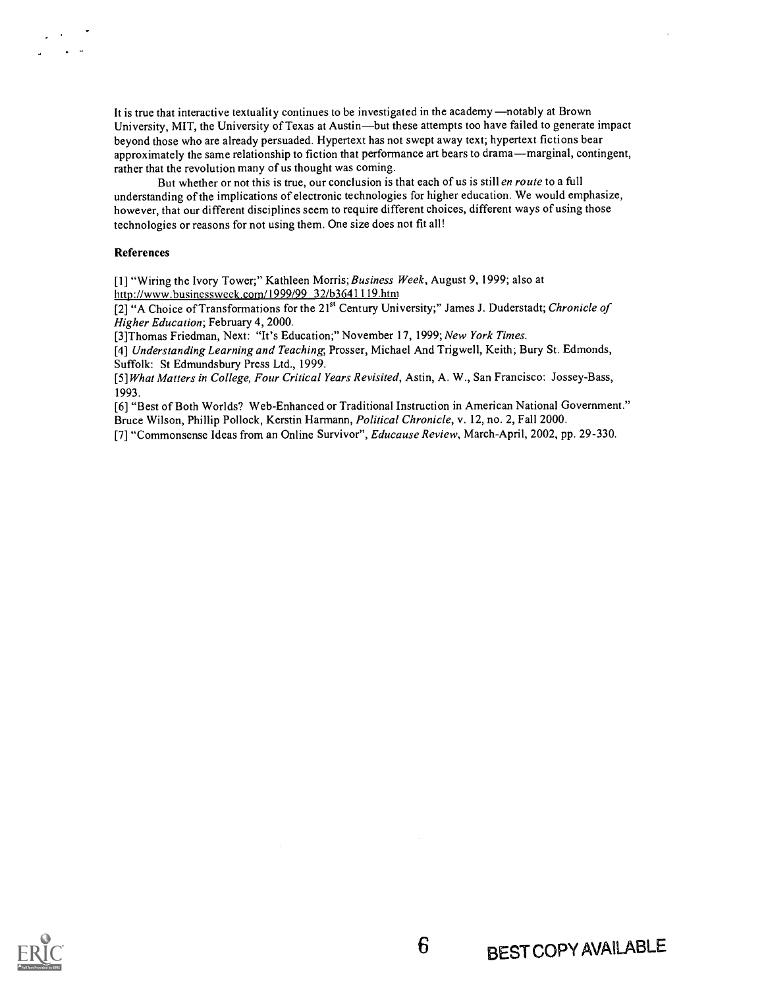It is true that interactive textuality continues to be investigated in the academy —notably at Brown University, MIT, the University of Texas at Austin—but these attempts too have failed to generate impact beyond those who are already persuaded. Hypertext has not swept away text; hypertext fictions bear approximately the same relationship to fiction that performance art bears to drama—marginal, contingent, rather that the revolution many of us thought was coming.

But whether or not this is true, our conclusion is that each of us is still en route to a full understanding of the implications of electronic technologies for higher education. We would emphasize, however, that our different disciplines seem to require different choices, different ways of using those technologies or reasons for not using them. One size does not fit all!

#### References

[1] "Wiring the Ivory Tower;" Kathleen Morris; Business Week, August 9, 1999; also at littp://www.businessweek.com/1999/99 32/b3641119.htm

[2] "A Choice of Transformations for the 21<sup>st</sup> Century University;" James J. Duderstadt; Chronicle of Higher Education; February 4, 2000.

[3]Thomas Friedman, Next: "It's Education;" November 17, 1999; New York Times.

[4] Understanding Learning and Teaching, Prosser, Michael And Trigwell, Keith; Bury St. Edmonds, Suffolk: St Edmundsbury Press Ltd., 1999.

[5] What Matters in College, Four Critical Years Revisited, Astin, A. W., San Francisco: Jossey-Bass, 1993.

[6] "Best of Both Worlds? Web-Enhanced or Traditional Instruction in American National Government." Bruce Wilson, Phillip Pollock, Kerstin Harmann, Political Chronicle, v. 12, no. 2, Fall 2000.

[7] "Commonsense Ideas from an Online Survivor", Educause Review, March-April, 2002, pp. 29-330.